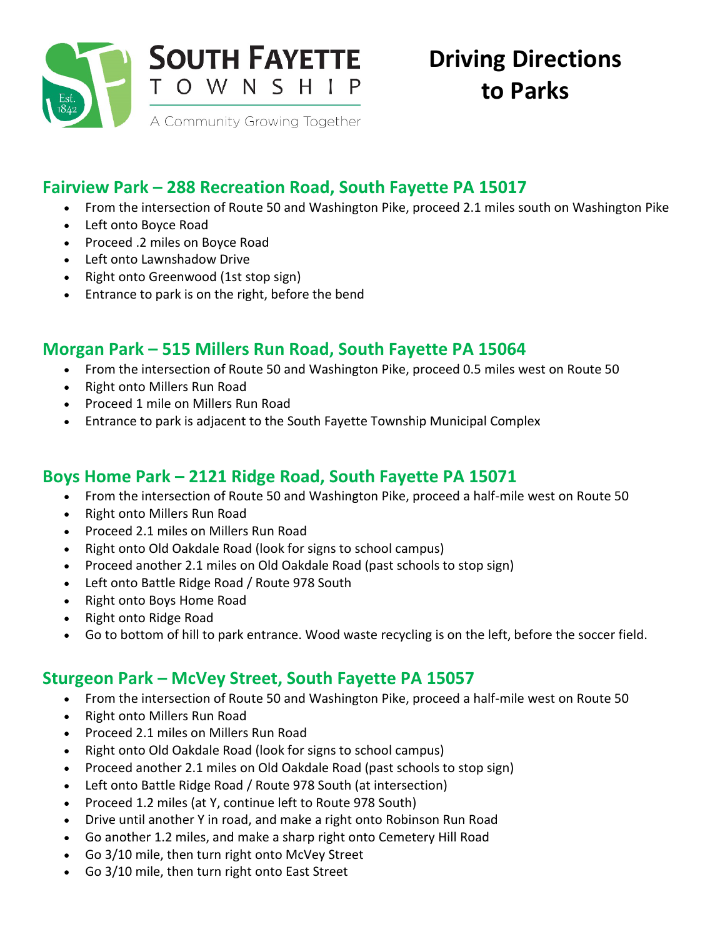

# **Fairview Park – 288 Recreation Road, South Fayette PA 15017**

- From the intersection of Route 50 and Washington Pike, proceed 2.1 miles south on Washington Pike
- Left onto Boyce Road
- Proceed .2 miles on Boyce Road
- Left onto Lawnshadow Drive
- Right onto Greenwood (1st stop sign)
- Entrance to park is on the right, before the bend

#### **Morgan Park – 515 Millers Run Road, South Fayette PA 15064**

- From the intersection of Route 50 and Washington Pike, proceed 0.5 miles west on Route 50
- Right onto Millers Run Road
- Proceed 1 mile on Millers Run Road
- Entrance to park is adjacent to the South Fayette Township Municipal Complex

# **Boys Home Park – 2121 Ridge Road, South Fayette PA 15071**

- From the intersection of Route 50 and Washington Pike, proceed a half-mile west on Route 50
- Right onto Millers Run Road
- Proceed 2.1 miles on Millers Run Road
- Right onto Old Oakdale Road (look for signs to school campus)
- Proceed another 2.1 miles on Old Oakdale Road (past schools to stop sign)
- Left onto Battle Ridge Road / Route 978 South
- Right onto Boys Home Road
- Right onto Ridge Road
- Go to bottom of hill to park entrance. Wood waste recycling is on the left, before the soccer field.

### **Sturgeon Park – McVey Street, South Fayette PA 15057**

- From the intersection of Route 50 and Washington Pike, proceed a half-mile west on Route 50
- Right onto Millers Run Road
- Proceed 2.1 miles on Millers Run Road
- Right onto Old Oakdale Road (look for signs to school campus)
- Proceed another 2.1 miles on Old Oakdale Road (past schools to stop sign)
- Left onto Battle Ridge Road / Route 978 South (at intersection)
- Proceed 1.2 miles (at Y, continue left to Route 978 South)
- Drive until another Y in road, and make a right onto Robinson Run Road
- Go another 1.2 miles, and make a sharp right onto Cemetery Hill Road
- Go 3/10 mile, then turn right onto McVey Street
- Go 3/10 mile, then turn right onto East Street